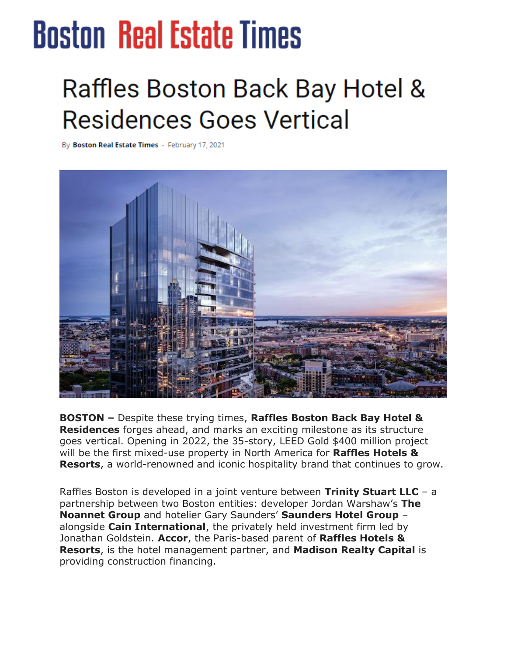## **Boston Real Estate Times**

## **Raffles Boston Back Bay Hotel & Residences Goes Vertical**

By Boston Real Estate Times - February 17, 2021



**BOSTON –** Despite these trying times, **Raffles Boston Back Bay Hotel & Residences** forges ahead, and marks an exciting milestone as its structure goes vertical. Opening in 2022, the 35-story, LEED Gold \$400 million project will be the first mixed-use property in North America for **Raffles Hotels & Resorts**, a world-renowned and iconic hospitality brand that continues to grow.

Raffles Boston is developed in a joint venture between **Trinity Stuart LLC** – a partnership between two Boston entities: developer Jordan Warshaw's **The Noannet Group** and hotelier Gary Saunders' **Saunders Hotel Group** – alongside **Cain International**, the privately held investment firm led by Jonathan Goldstein. **Accor**, the Paris-based parent of **Raffles Hotels & Resorts**, is the hotel management partner, and **Madison Realty Capital** is providing construction financing.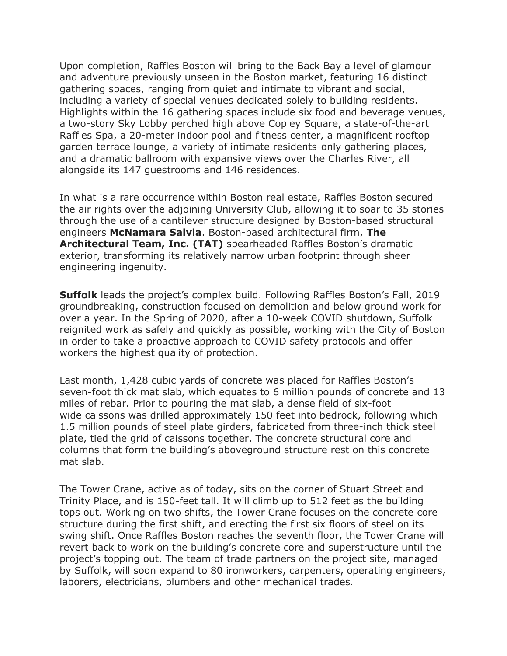Upon completion, Raffles Boston will bring to the Back Bay a level of glamour and adventure previously unseen in the Boston market, featuring 16 distinct gathering spaces, ranging from quiet and intimate to vibrant and social, including a variety of special venues dedicated solely to building residents. Highlights within the 16 gathering spaces include six food and beverage venues, a two-story Sky Lobby perched high above Copley Square, a state-of-the-art Raffles Spa, a 20-meter indoor pool and fitness center, a magnificent rooftop garden terrace lounge, a variety of intimate residents-only gathering places, and a dramatic ballroom with expansive views over the Charles River, all alongside its 147 guestrooms and 146 residences.

In what is a rare occurrence within Boston real estate, Raffles Boston secured the air rights over the adjoining University Club, allowing it to soar to 35 stories through the use of a cantilever structure designed by Boston-based structural engineers **McNamara Salvia**. Boston-based architectural firm, **The Architectural Team, Inc. (TAT)** spearheaded Raffles Boston's dramatic exterior, transforming its relatively narrow urban footprint through sheer engineering ingenuity.

**Suffolk** leads the project's complex build. Following Raffles Boston's Fall, 2019 groundbreaking, construction focused on demolition and below ground work for over a year. In the Spring of 2020, after a 10-week COVID shutdown, Suffolk reignited work as safely and quickly as possible, working with the City of Boston in order to take a proactive approach to COVID safety protocols and offer workers the highest quality of protection.

Last month, 1,428 cubic yards of concrete was placed for Raffles Boston's seven-foot thick mat slab, which equates to 6 million pounds of concrete and 13 miles of rebar. Prior to pouring the mat slab, a dense field of six-foot wide caissons was drilled approximately 150 feet into bedrock, following which 1.5 million pounds of steel plate girders, fabricated from three-inch thick steel plate, tied the grid of caissons together. The concrete structural core and columns that form the building's aboveground structure rest on this concrete mat slab.

The Tower Crane, active as of today, sits on the corner of Stuart Street and Trinity Place, and is 150-feet tall. It will climb up to 512 feet as the building tops out. Working on two shifts, the Tower Crane focuses on the concrete core structure during the first shift, and erecting the first six floors of steel on its swing shift. Once Raffles Boston reaches the seventh floor, the Tower Crane will revert back to work on the building's concrete core and superstructure until the project's topping out. The team of trade partners on the project site, managed by Suffolk, will soon expand to 80 ironworkers, carpenters, operating engineers, laborers, electricians, plumbers and other mechanical trades.